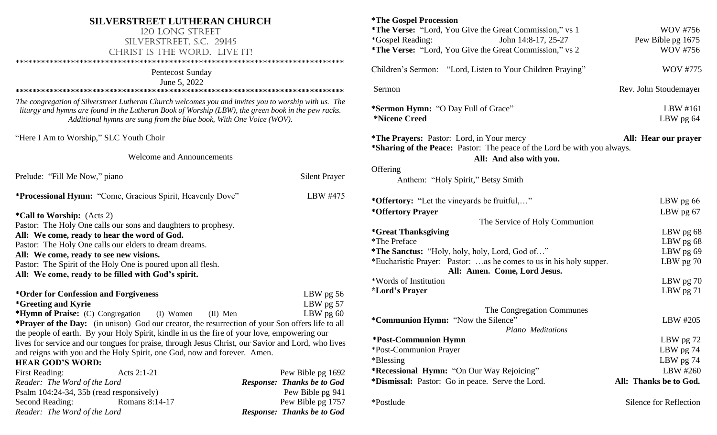## **SILVERSTREET LUTHERAN CHURCH**

# 120 Long Street Silverstreet, S.C. 29145 CHRIST IS THE WORD. LIVE IT!

\*\*\*\*\*\*\*\*\*\*\*\*\*\*\*\*\*\*\*\*\*\*\*\*\*\*\*\*\*\*\*\*\*\*\*\*\*\*\*\*\*\*\*\*\*\*\*\*\*\*\*\*\*\*\*\*\*\*\*\*\*\*\*\*\*\*\*\*\*\*\*\*\*\*\*\*\*

### Pentecost Sunday

June 5, 2022

**\*\*\*\*\*\*\*\*\*\*\*\*\*\*\*\*\*\*\*\*\*\*\*\*\*\*\*\*\*\*\*\*\*\*\*\*\*\*\*\*\*\*\*\*\*\*\*\*\*\*\*\*\*\*\*\*\*\*\*\*\*\*\*\*\*\*\*\*\*\*\*\*\*\*\*\*\***

*The congregation of Silverstreet Lutheran Church welcomes you and invites you to worship with us. The liturgy and hymns are found in the Lutheran Book of Worship (LBW), the green book in the pew racks. Additional hymns are sung from the blue book, With One Voice (WOV).*

"Here I Am to Worship," SLC Youth Choir

Welcome and Announcements

| Prelude: "Fill Me Now," piano                                                                                                           | <b>Silent Prayer</b>                      |  |  |  |  |
|-----------------------------------------------------------------------------------------------------------------------------------------|-------------------------------------------|--|--|--|--|
| *Processional Hymn: "Come, Gracious Spirit, Heavenly Dove"                                                                              | LBW #475                                  |  |  |  |  |
| <i>*Call to Worship: (Acts 2)</i><br>Pastor: The Holy One calls our sons and daughters to prophesy.                                     |                                           |  |  |  |  |
| All: We come, ready to hear the word of God.                                                                                            |                                           |  |  |  |  |
| Pastor: The Holy One calls our elders to dream dreams.                                                                                  |                                           |  |  |  |  |
| All: We come, ready to see new visions.                                                                                                 |                                           |  |  |  |  |
| Pastor: The Spirit of the Holy One is poured upon all flesh.                                                                            |                                           |  |  |  |  |
| All: We come, ready to be filled with God's spirit.                                                                                     |                                           |  |  |  |  |
| *Order for Confession and Forgiveness<br><i>*Greeting and Kyrie</i><br><b>*Hymn of Praise:</b> (C) Congregation (I) Women<br>$(II)$ Men | LBW pg $56$<br>LBW pg $57$<br>LBW $pg 60$ |  |  |  |  |
| <b>*Prayer of the Day:</b> (in unison) God our creator, the resurrection of your Son offers life to all                                 |                                           |  |  |  |  |
| the people of earth. By your Holy Spirit, kindle in us the fire of your love, empowering our                                            |                                           |  |  |  |  |
| lives for service and our tongues for praise, through Jesus Christ, our Savior and Lord, who lives                                      |                                           |  |  |  |  |
| and reigns with you and the Holy Spirit, one God, now and forever. Amen.                                                                |                                           |  |  |  |  |
| <b>HEAR GOD'S WORD:</b>                                                                                                                 |                                           |  |  |  |  |
| First Reading:<br>Acts 2:1-21                                                                                                           | Pew Bible pg 1692                         |  |  |  |  |
| Reader: The Word of the Lord                                                                                                            | <b>Response: Thanks be to God</b>         |  |  |  |  |

Psalm 104:24-34, 35b (read responsively) Pew Bible pg 941 Second Reading: Romans 8:14-17 Pew Bible pg 1757 *Reader: The Word of the Lord Response: Thanks be to God* 

**\*The Gospel Procession \*The Verse:** "Lord, You Give the Great Commission," vs 1 WOV #756 \*Gospel Reading: John 14:8-17, 25-27 Pew Bible pg 1675 **\*The Verse:** "Lord, You Give the Great Commission," vs 2 WOV #756 Children's Sermon: "Lord, Listen to Your Children Praying" WOV #775 Sermon Rev. John Stoudemayer **\*Sermon Hymn:** "O Day Full of Grace" LBW #161 **\*Nicene Creed** LBW pg 64 **\*The Prayers:** Pastor: Lord, in Your mercy**All: Hear our prayer \*Sharing of the Peace:** Pastor: The peace of the Lord be with you always. **All: And also with you. Offering** Anthem: "Holy Spirit," Betsy Smith **\*Offertory:** "Let the vineyards be fruitful,…" LBW pg 66 **\*Offertory Prayer** LBW pg 67 The Service of Holy Communion **\*Great Thanksgiving** LBW pg 68 \*The Preface LBW pg 68 **\*The Sanctus:** "Holy, holy, holy, Lord, God of…" LBW pg 69 \*Eucharistic Prayer: Pastor: …as he comes to us in his holy supper. LBW pg 70 **All: Amen. Come, Lord Jesus.** \*Words of Institution LBW pg 70 **\*Lord's Prayer** LBW pg 71 The Congregation Communes **\*Communion Hymn:** "Now the Silence" LBW #205 *Piano Meditations* **\*Post-Communion Hymn** LBW pg 72 \*Post-Communion Prayer LBW pg 74 \*Blessing LBW pg 74 **\*Recessional Hymn:** "On Our Way Rejoicing" LBW #260 **\*Dismissal:** Pastor: Go in peace. Serve the Lord. **All: Thanks be to God.**

\*Postlude  $\bullet$  Silence for Reflection